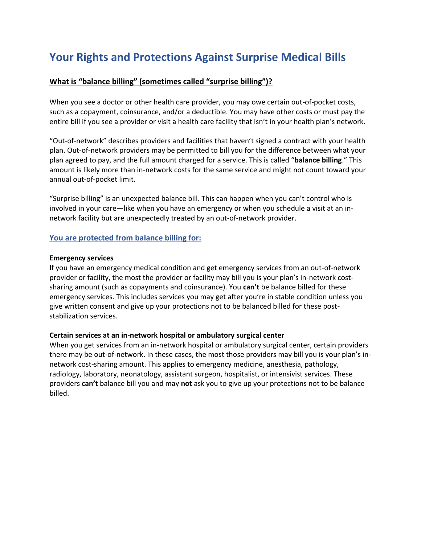# **Your Rights and Protections Against Surprise Medical Bills**

## **What is "balance billing" (sometimes called "surprise billing")?**

When you see a doctor or other health care provider, you may owe certain out-of-pocket costs, such as a copayment, coinsurance, and/or a deductible. You may have other costs or must pay the entire bill if you see a provider or visit a health care facility that isn't in your health plan's network.

"Out-of-network" describes providers and facilities that haven't signed a contract with your health plan. Out-of-network providers may be permitted to bill you for the difference between what your plan agreed to pay, and the full amount charged for a service. This is called "**balance billing**." This amount is likely more than in-network costs for the same service and might not count toward your annual out-of-pocket limit.

"Surprise billing" is an unexpected balance bill. This can happen when you can't control who is involved in your care—like when you have an emergency or when you schedule a visit at an innetwork facility but are unexpectedly treated by an out-of-network provider.

### **You are protected from balance billing for:**

#### **Emergency services**

If you have an emergency medical condition and get emergency services from an out-of-network provider or facility, the most the provider or facility may bill you is your plan's in-network costsharing amount (such as copayments and coinsurance). You **can't** be balance billed for these emergency services. This includes services you may get after you're in stable condition unless you give written consent and give up your protections not to be balanced billed for these poststabilization services.

#### **Certain services at an in-network hospital or ambulatory surgical center**

When you get services from an in-network hospital or ambulatory surgical center, certain providers there may be out-of-network. In these cases, the most those providers may bill you is your plan's innetwork cost-sharing amount. This applies to emergency medicine, anesthesia, pathology, radiology, laboratory, neonatology, assistant surgeon, hospitalist, or intensivist services. These providers **can't** balance bill you and may **not** ask you to give up your protections not to be balance billed.